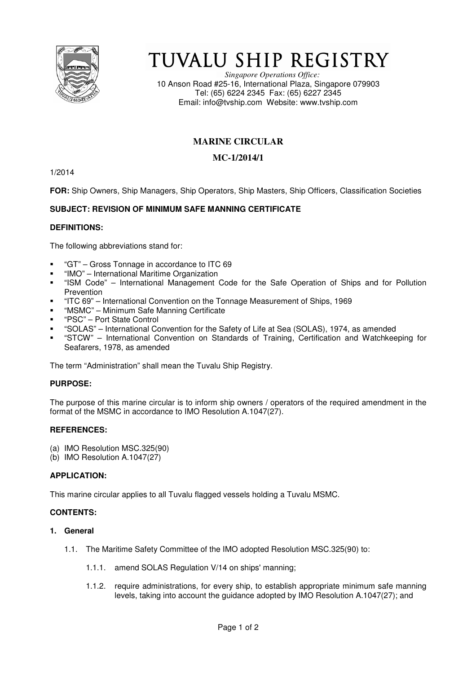

# TUVALU SHIP REGISTRY

*Singapore Operations Office:* 10 Anson Road #25-16, International Plaza, Singapore 079903 Tel: (65) 6224 2345 Fax: (65) 6227 2345 Email: info@tvship.com Website: www.tvship.com

# **MARINE CIRCULAR**

## **MC-1/2014/1**

1/2014

**FOR:** Ship Owners, Ship Managers, Ship Operators, Ship Masters, Ship Officers, Classification Societies

### **SUBJECT: REVISION OF MINIMUM SAFE MANNING CERTIFICATE**

#### **DEFINITIONS:**

The following abbreviations stand for:

- "GT" Gross Tonnage in accordance to ITC 69
- "IMO" International Maritime Organization
- "ISM Code" International Management Code for the Safe Operation of Ships and for Pollution Prevention
- "ITC 69" International Convention on the Tonnage Measurement of Ships, 1969
- "MSMC" Minimum Safe Manning Certificate
- "PSC" Port State Control
- "SOLAS" International Convention for the Safety of Life at Sea (SOLAS), 1974, as amended
- "STCW" International Convention on Standards of Training, Certification and Watchkeeping for Seafarers, 1978, as amended

The term "Administration" shall mean the Tuvalu Ship Registry.

#### **PURPOSE:**

The purpose of this marine circular is to inform ship owners / operators of the required amendment in the format of the MSMC in accordance to IMO Resolution A.1047(27).

#### **REFERENCES:**

- (a) IMO Resolution MSC.325(90)
- (b) IMO Resolution A.1047(27)

#### **APPLICATION:**

This marine circular applies to all Tuvalu flagged vessels holding a Tuvalu MSMC.

#### **CONTENTS:**

- **1. General** 
	- 1.1. The Maritime Safety Committee of the IMO adopted Resolution MSC.325(90) to:
		- 1.1.1. amend SOLAS Regulation V/14 on ships' manning;
		- 1.1.2. require administrations, for every ship, to establish appropriate minimum safe manning levels, taking into account the guidance adopted by IMO Resolution A.1047(27); and